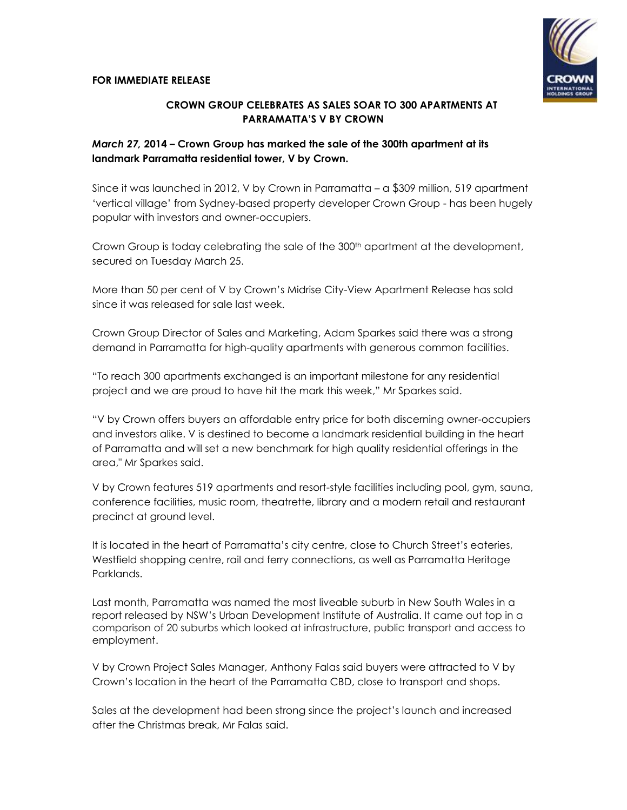

## **CROWN GROUP CELEBRATES AS SALES SOAR TO 300 APARTMENTS AT PARRAMATTA'S V BY CROWN**

## *March 27,* **2014 – Crown Group has marked the sale of the 300th apartment at its landmark Parramatta residential tower, V by Crown.**

Since it was launched in 2012, V by Crown in Parramatta – a \$309 million, 519 apartment 'vertical village' from Sydney-based property developer Crown Group - has been hugely popular with investors and owner-occupiers.

Crown Group is today celebrating the sale of the 300<sup>th</sup> apartment at the development, secured on Tuesday March 25.

More than 50 per cent of V by Crown's Midrise City-View Apartment Release has sold since it was released for sale last week.

Crown Group Director of Sales and Marketing, Adam Sparkes said there was a strong demand in Parramatta for high-quality apartments with generous common facilities.

"To reach 300 apartments exchanged is an important milestone for any residential project and we are proud to have hit the mark this week," Mr Sparkes said.

"V by Crown offers buyers an affordable entry price for both discerning owner-occupiers and investors alike. V is destined to become a landmark residential building in the heart of Parramatta and will set a new benchmark for high quality residential offerings in the area," Mr Sparkes said.

V by Crown features 519 apartments and resort-style facilities including pool, gym, sauna, conference facilities, music room, theatrette, library and a modern retail and restaurant precinct at ground level.

It is located in the heart of Parramatta's city centre, close to Church Street's eateries, Westfield shopping centre, rail and ferry connections, as well as Parramatta Heritage Parklands.

Last month, Parramatta was named the most liveable suburb in New South Wales in a report released by NSW's Urban Development Institute of Australia. It came out top in a comparison of 20 suburbs which looked at infrastructure, public transport and access to employment.

V by Crown Project Sales Manager, Anthony Falas said buyers were attracted to V by Crown's location in the heart of the Parramatta CBD, close to transport and shops.

Sales at the development had been strong since the project's launch and increased after the Christmas break, Mr Falas said.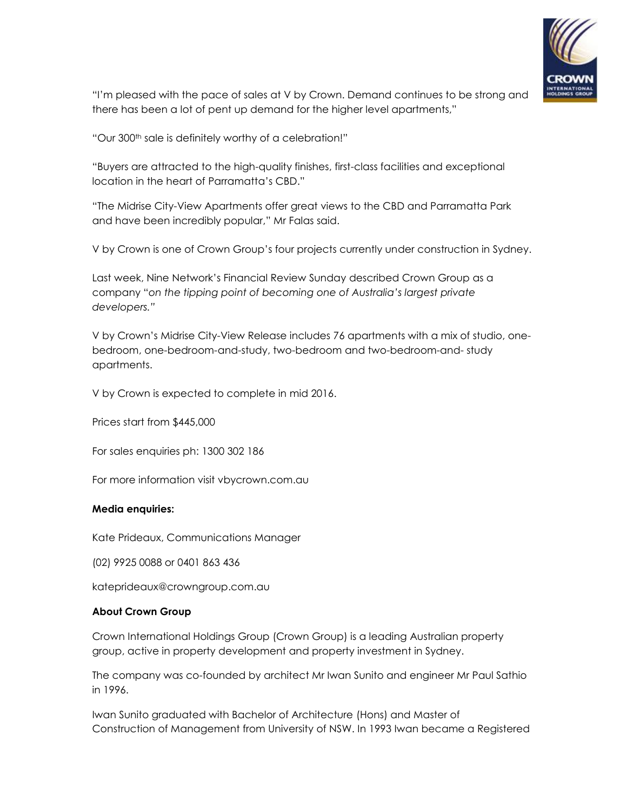

"I'm pleased with the pace of sales at V by Crown. Demand continues to be strong and there has been a lot of pent up demand for the higher level apartments,"

"Our 300th sale is definitely worthy of a celebration!"

"Buyers are attracted to the high-quality finishes, first-class facilities and exceptional location in the heart of Parramatta's CBD."

"The Midrise City-View Apartments offer great views to the CBD and Parramatta Park and have been incredibly popular," Mr Falas said.

V by Crown is one of Crown Group's four projects currently under construction in Sydney.

Last week, Nine Network's Financial Review Sunday described Crown Group as a company "*on the tipping point of becoming one of Australia's largest private developers."*

V by Crown's Midrise City-View Release includes 76 apartments with a mix of studio, onebedroom, one-bedroom-and-study, two-bedroom and two-bedroom-and- study apartments.

V by Crown is expected to complete in mid 2016.

Prices start from \$445,000

For sales enquiries ph: 1300 302 186

For more information visit vbycrown.com.au

## **Media enquiries:**

Kate Prideaux, Communications Manager

(02) 9925 0088 or 0401 863 436

kateprideaux@crowngroup.com.au

## **About Crown Group**

Crown International Holdings Group (Crown Group) is a leading Australian property group, active in property development and property investment in Sydney.

The company was co-founded by architect Mr Iwan Sunito and engineer Mr Paul Sathio in 1996.

Iwan Sunito graduated with Bachelor of Architecture (Hons) and Master of Construction of Management from University of NSW. In 1993 Iwan became a Registered